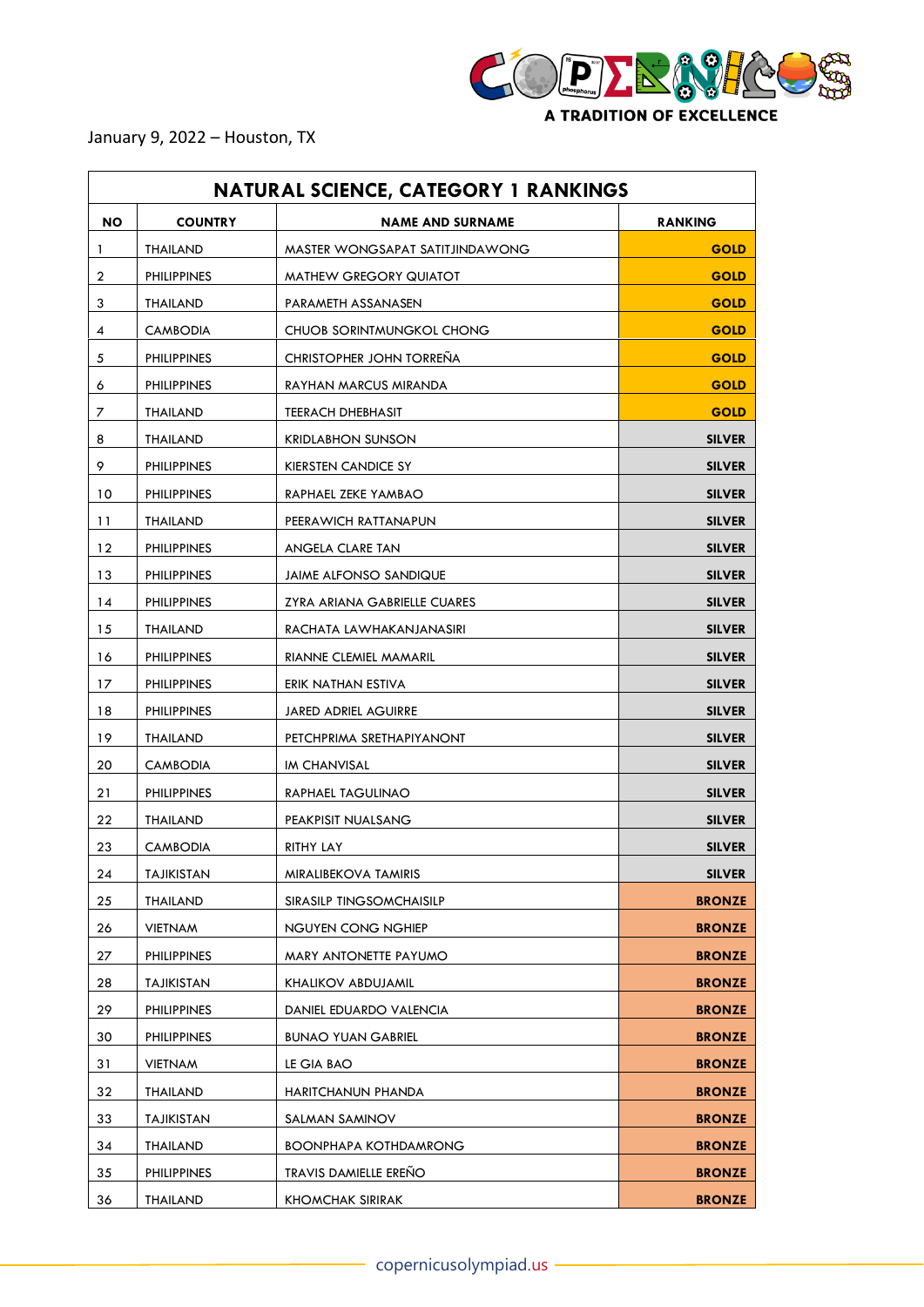

January 9, 2022 – Houston, TX

| <b>NATURAL SCIENCE, CATEGORY 1 RANKINGS</b> |                    |                                 |                |  |
|---------------------------------------------|--------------------|---------------------------------|----------------|--|
| <b>NO</b>                                   | <b>COUNTRY</b>     | <b>NAME AND SURNAME</b>         | <b>RANKING</b> |  |
| 1                                           | THAILAND           | MASTER WONGSAPAT SATITJINDAWONG | <b>GOLD</b>    |  |
| 2                                           | <b>PHILIPPINES</b> | MATHEW GREGORY QUIATOT          | <b>GOLD</b>    |  |
| 3                                           | THAILAND           | PARAMETH ASSANASEN              | <b>GOLD</b>    |  |
| 4                                           | <b>CAMBODIA</b>    | CHUOB SORINTMUNGKOL CHONG       | <b>GOLD</b>    |  |
| 5                                           | <b>PHILIPPINES</b> | <b>CHRISTOPHER JOHN TORRENA</b> | <b>GOLD</b>    |  |
| 6                                           | <b>PHILIPPINES</b> | RAYHAN MARCUS MIRANDA           | <b>GOLD</b>    |  |
| 7                                           | THAILAND           | <b>TEERACH DHEBHASIT</b>        | <b>GOLD</b>    |  |
| 8                                           | THAILAND           | <b>KRIDLABHON SUNSON</b>        | <b>SILVER</b>  |  |
| 9                                           | <b>PHILIPPINES</b> | KIERSTEN CANDICE SY             | <b>SILVER</b>  |  |
| 10                                          | <b>PHILIPPINES</b> | RAPHAEL ZEKE YAMBAO             | <b>SILVER</b>  |  |
| 11                                          | THAILAND           | PEERAWICH RATTANAPUN            | <b>SILVER</b>  |  |
| $12 \,$                                     | <b>PHILIPPINES</b> | ANGELA CLARE TAN                | <b>SILVER</b>  |  |
| 13                                          | <b>PHILIPPINES</b> | <b>JAIME ALFONSO SANDIQUE</b>   | <b>SILVER</b>  |  |
| 14                                          | <b>PHILIPPINES</b> | ZYRA ARIANA GABRIELLE CUARES    | <b>SILVER</b>  |  |
| 15                                          | THAILAND           | RACHATA LAWHAKANJANASIRI        | <b>SILVER</b>  |  |
| 16                                          | <b>PHILIPPINES</b> | RIANNE CLEMIEL MAMARIL          | <b>SILVER</b>  |  |
| 17                                          | <b>PHILIPPINES</b> | ERIK NATHAN ESTIVA              | <b>SILVER</b>  |  |
| 18                                          | <b>PHILIPPINES</b> | <b>JARED ADRIEL AGUIRRE</b>     | <b>SILVER</b>  |  |
| 19                                          | THAILAND           | PETCHPRIMA SRETHAPIYANONT       | <b>SILVER</b>  |  |
| 20                                          | <b>CAMBODIA</b>    | IM CHANVISAL                    | <b>SILVER</b>  |  |
| 21                                          | <b>PHILIPPINES</b> | RAPHAEL TAGULINAO               | <b>SILVER</b>  |  |
| 22                                          | THAILAND           | PEAKPISIT NUALSANG              | <b>SILVER</b>  |  |
| 23                                          | <b>CAMBODIA</b>    | RITHY LAY                       | <b>SILVER</b>  |  |
| 24                                          | TAJIKISTAN         | MIRALIBEKOVA TAMIRIS            | <b>SILVER</b>  |  |
| 25                                          | THAILAND           | SIRASILP TINGSOMCHAISILP        | <b>BRONZE</b>  |  |
| 26                                          | VIETNAM            | NGUYEN CONG NGHIEP              | <b>BRONZE</b>  |  |
| 27                                          | <b>PHILIPPINES</b> | MARY ANTONETTE PAYUMO           | <b>BRONZE</b>  |  |
| 28                                          | TAJIKISTAN         | KHALIKOV ABDUJAMIL              | <b>BRONZE</b>  |  |
| 29                                          | PHILIPPINES        | DANIEL EDUARDO VALENCIA         | <b>BRONZE</b>  |  |
| 30                                          | <b>PHILIPPINES</b> | <b>BUNAO YUAN GABRIEL</b>       | <b>BRONZE</b>  |  |
| 31                                          | VIETNAM            | LE GIA BAO                      | <b>BRONZE</b>  |  |
| 32                                          | THAILAND           | HARITCHANUN PHANDA              | <b>BRONZE</b>  |  |
| 33                                          | TAJIKISTAN         | SALMAN SAMINOV                  | <b>BRONZE</b>  |  |
| 34                                          | THAILAND           | <b>BOONPHAPA KOTHDAMRONG</b>    | <b>BRONZE</b>  |  |
| 35                                          | <b>PHILIPPINES</b> | <b>TRAVIS DAMIELLE ERENO</b>    | <b>BRONZE</b>  |  |
| 36                                          | <b>THAILAND</b>    | <b>KHOMCHAK SIRIRAK</b>         | <b>BRONZE</b>  |  |